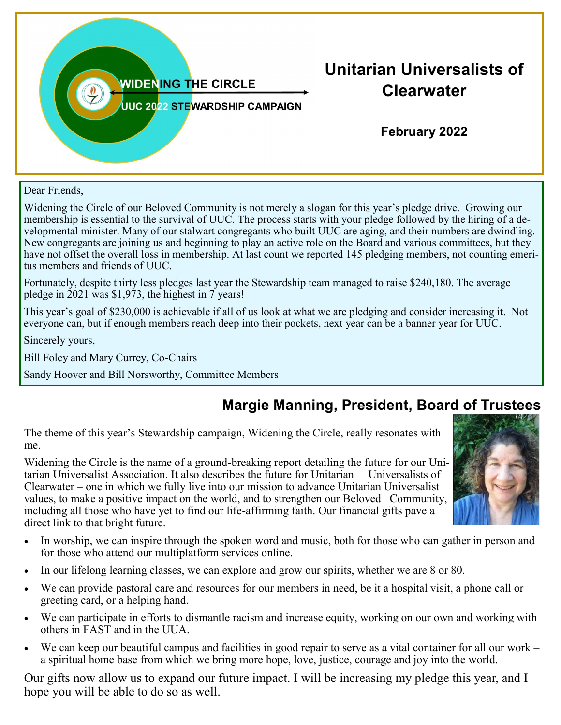

Dear Friends,

Widening the Circle of our Beloved Community is not merely a slogan for this year's pledge drive. Growing our membership is essential to the survival of UUC. The process starts with your pledge followed by the hiring of a developmental minister. Many of our stalwart congregants who built UUC are aging, and their numbers are dwindling. New congregants are joining us and beginning to play an active role on the Board and various committees, but they have not offset the overall loss in membership. At last count we reported 145 pledging members, not counting emeritus members and friends of UUC.

Fortunately, despite thirty less pledges last year the Stewardship team managed to raise \$240,180. The average pledge in 2021 was \$1,973, the highest in 7 years!

This year's goal of \$230,000 is achievable if all of us look at what we are pledging and consider increasing it. Not everyone can, but if enough members reach deep into their pockets, next year can be a banner year for UUC.

Sincerely yours,

Bill Foley and Mary Currey, Co-Chairs

Sandy Hoover and Bill Norsworthy, Committee Members

## **Margie Manning, President, Board of Trustees**

The theme of this year's Stewardship campaign, Widening the Circle, really resonates with me.

Widening the Circle is the name of a ground-breaking report detailing the future for our Unitarian Universalist Association. It also describes the future for Unitarian Universalists of Clearwater – one in which we fully live into our mission to advance Unitarian Universalist values, to make a positive impact on the world, and to strengthen our Beloved Community, including all those who have yet to find our life-affirming faith. Our financial gifts pave a direct link to that bright future.



- In worship, we can inspire through the spoken word and music, both for those who can gather in person and for those who attend our multiplatform services online.
- In our lifelong learning classes, we can explore and grow our spirits, whether we are 8 or 80.
- We can provide pastoral care and resources for our members in need, be it a hospital visit, a phone call or greeting card, or a helping hand.
- We can participate in efforts to dismantle racism and increase equity, working on our own and working with others in FAST and in the UUA.
- We can keep our beautiful campus and facilities in good repair to serve as a vital container for all our work a spiritual home base from which we bring more hope, love, justice, courage and joy into the world.

Our gifts now allow us to expand our future impact. I will be increasing my pledge this year, and I hope you will be able to do so as well.